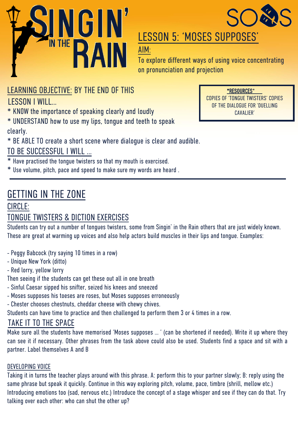



## LESSON 5: 'MOSES SUPPOSES'

AIM:

To explore different ways of using voice concentrating on pronunciation and projection

### LEARNING OBJECTIVE: BY THE END OF THIS

LESSON I WILL…

\* KN0W the importance of speaking clearly and loudly

\* UNDERSTAND how to use my lips, tongue and teeth to speak clearly.

\* BE ABLE TO create a short scene where dialogue is clear and audible.

### TO BE SUCCESSFUL I WILL …

\* Have practised the tongue twisters so that my mouth is exercised.

\* Use volume, pitch, pace and speed to make sure my words are heard .

## GETTING IN THE ZONE

#### CIRCLE:

### TONGUE TWISTERS & DICTION EXERCISES

Students can try out a number of tongues twisters, some from Singin' in the Rain others that are just widely known. These are great at warming up voices and also help actors build muscles in their lips and tongue. Examples:

- Peggy Babcock (try saying 10 times in a row)
- Unique New York (ditto)

- Red lorry, yellow lorry

Then seeing if the students can get these out all in one breath

- Sinful Caesar sipped his snifter, seized his knees and sneezed
- Moses supposes his toeses are roses, but Moses supposes erroneously
- Chester chooses chestnuts, cheddar cheese with chewy chives.

Students can have time to practice and then challenged to perform them 3 or 4 times in a row.

### TAKE IT TO THE SPACE

Make sure all the students have memorised 'Moses supposes … ' (can be shortened if needed). Write it up where they can see it if necessary. Other phrases from the task above could also be used. Students find a space and sit with a partner. Label themselves A and B

#### DEVELOPING VOICE

Taking it in turns the teacher plays around with this phrase. A: perform this to your partner slowly; B: reply using the same phrase but speak it quickly. Continue in this way exploring pitch, volume, pace, timbre (shrill, mellow etc.) Introducing emotions too (sad, nervous etc.) Introduce the concept of a stage whisper and see if they can do that. Try talking over each other: who can shut the other up?

\*RESOURCES\* COPIES OF 'TONGUE TWISTERS' COPIES OF THE DIALOGUE FOR 'DUELLING CAVALIER'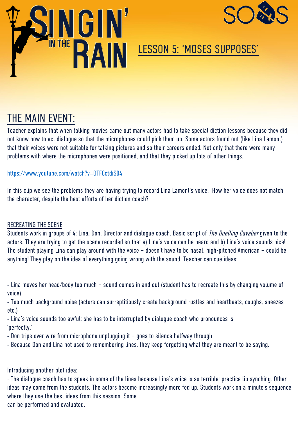



## LESSON 5: 'MOSES SUPPOSES'

## THE MAIN EVENT:

Teacher explains that when talking movies came out many actors had to take special diction lessons because they did not know how to act dialogue so that the microphones could pick them up. Some actors found out (like Lina Lamont) that their voices were not suitable for talking pictures and so their careers ended. Not only that there were many problems with where the microphones were positioned, and that they picked up lots of other things.

#### https://www.youtube.com/watch?v=OTFCctdiS04

In this clip we see the problems they are having trying to record Lina Lamont's voice. How her voice does not match the character, despite the best efforts of her diction coach?

#### RECREATING THE SCENE

Students work in groups of 4: Lina, Don, Director and dialogue coach. Basic script of The Duelling Cavalier given to the actors. They are trying to get the scene recorded so that a) Lina's voice can be heard and b) Lina's voice sounds nice! The student playing Lina can play around with the voice – doesn't have to be nasal, high-pitched American – could be anything! They play on the idea of everything going wrong with the sound. Teacher can cue ideas:

- Lina moves her head/body too much – sound comes in and out (student has to recreate this by changing volume of voice)

- Too much background noise (actors can surreptitiously create background rustles and heartbeats, coughs, sneezes etc.)

- Lina's voice sounds too awful: she has to be interrupted by dialogue coach who pronounces is 'perfectly.'

- Don trips over wire from microphone unplugging it – goes to silence halfway through

- Because Don and Lina not used to remembering lines, they keep forgetting what they are meant to be saying.

Introducing another plot idea:

- The dialogue coach has to speak in some of the lines because Lina's voice is so terrible: practice lip synching. Other ideas may come from the students. The actors become increasingly more fed up. Students work on a minute's sequence where they use the best ideas from this session. Some can be performed and evaluated.